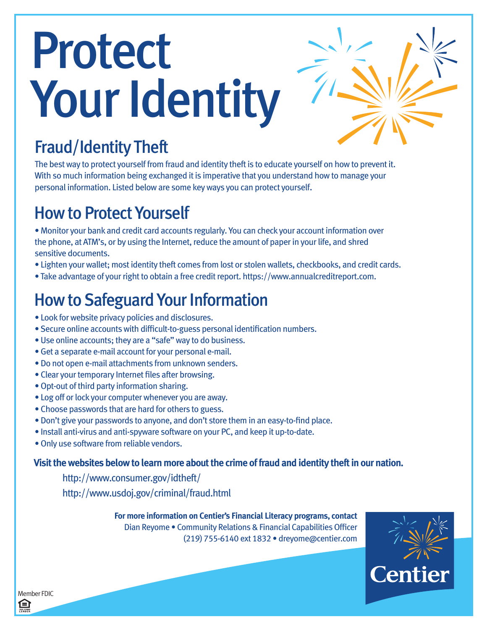# Protect Your Identity

# Fraud/Identity Theft

The best way to protect yourself from fraud and identity theft is to educate yourself on how to prevent it. With so much information being exchanged it is imperative that you understand how to manage your personal information. Listed below are some key ways you can protect yourself.

## How to Protect Yourself

• Monitor your bank and credit card accounts regularly. You can check your account information over the phone, at ATM's, or by using the Internet, reduce the amount of paper in your life, and shred sensitive documents.

- Lighten your wallet; most identity theft comes from lost or stolen wallets, checkbooks, and credit cards.
- Take advantage of your right to obtain a free credit report. https://www.annualcreditreport.com.

# How to Safeguard Your Information

- Look for website privacy policies and disclosures.
- Secure online accounts with difficult-to-guess personal identification numbers.
- Use online accounts; they are a "safe" way to do business.
- Get a separate e-mail account for your personal e-mail.
- Do not open e-mail attachments from unknown senders.
- Clear your temporary Internet files after browsing.
- Opt-out of third party information sharing.
- Log off or lock your computer whenever you are away.
- Choose passwords that are hard for others to guess.
- Don't give your passwords to anyone, and don't store them in an easy-to-find place.
- Install anti-virus and anti-spyware software on your PC, and keep it up-to-date.
- Only use software from reliable vendors.

## **Visit the websites below to learn more about the crime of fraud and identity theft in our nation.**

http://www.consumer.gov/idtheft/ http://www.usdoj.gov/criminal/fraud.html

> **For more information on Centier's Financial Literacy programs, contact**  Dian Reyome • Community Relations & Financial Capabilities Officer (219) 755-6140 ext 1832 • dreyome@centier.com



Member FDIC 臼